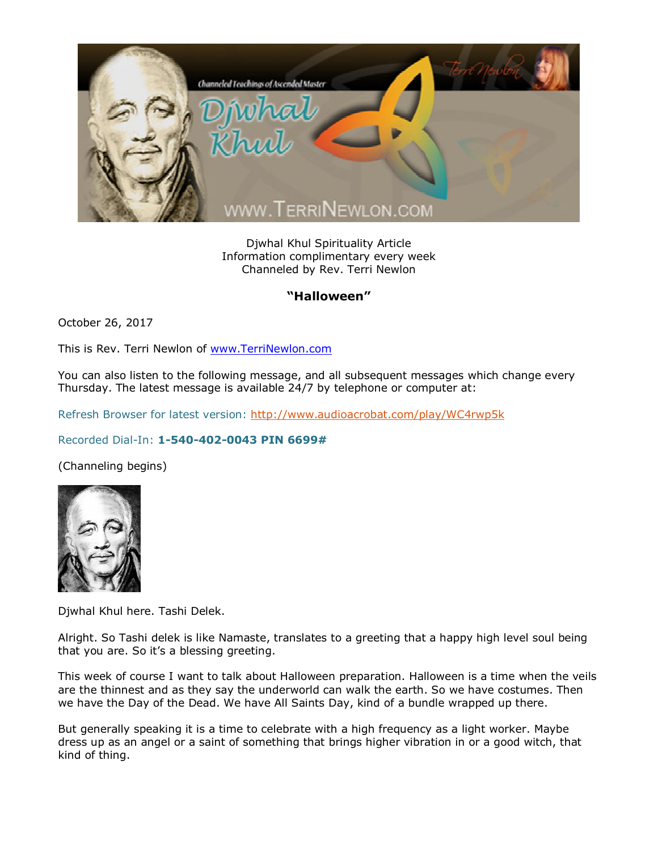

Djwhal Khul Spirituality Article Information complimentary every week Channeled by Rev. Terri Newlon

## **"Halloween"**

October 26, 2017

This is Rev. Terri Newlon of [www.TerriNewlon.com](http://www.terrinewlon.com/)

You can also listen to the following message, and all subsequent messages which change every Thursday. The latest message is available 24/7 by telephone or computer at:

Refresh Browser for latest version: <http://www.audioacrobat.com/play/WC4rwp5k>

## Recorded Dial-In: **1-540-402-0043 PIN 6699#**

(Channeling begins)



Djwhal Khul here. Tashi Delek.

Alright. So Tashi delek is like Namaste, translates to a greeting that a happy high level soul being that you are. So it's a blessing greeting.

This week of course I want to talk about Halloween preparation. Halloween is a time when the veils are the thinnest and as they say the underworld can walk the earth. So we have costumes. Then we have the Day of the Dead. We have All Saints Day, kind of a bundle wrapped up there.

But generally speaking it is a time to celebrate with a high frequency as a light worker. Maybe dress up as an angel or a saint of something that brings higher vibration in or a good witch, that kind of thing.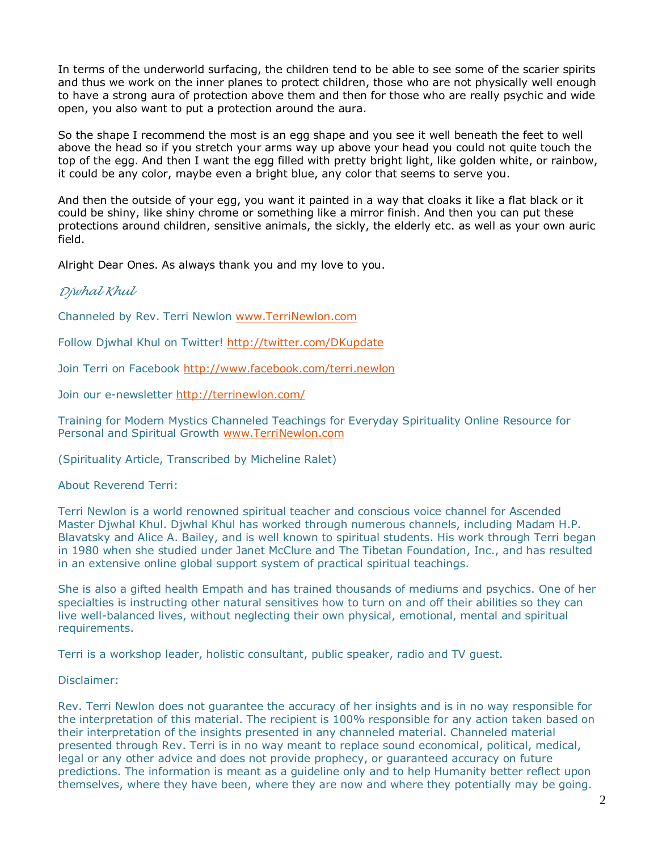In terms of the underworld surfacing, the children tend to be able to see some of the scarier spirits and thus we work on the inner planes to protect children, those who are not physically well enough to have a strong aura of protection above them and then for those who are really psychic and wide open, you also want to put a protection around the aura.

So the shape I recommend the most is an egg shape and you see it well beneath the feet to well above the head so if you stretch your arms way up above your head you could not quite touch the top of the egg. And then I want the egg filled with pretty bright light, like golden white, or rainbow, it could be any color, maybe even a bright blue, any color that seems to serve you.

And then the outside of your egg, you want it painted in a way that cloaks it like a flat black or it could be shiny, like shiny chrome or something like a mirror finish. And then you can put these protections around children, sensitive animals, the sickly, the elderly etc. as well as your own auric field.

Alright Dear Ones. As always thank you and my love to you.

## *Djwhal Khul*

Channeled by Rev. Terri Newlon [www.TerriNewlon.com](http://www.terrinewlon.com/)

Follow Djwhal Khul on Twitter! <http://twitter.com/DKupdate>

Join Terri on Facebook <http://www.facebook.com/terri.newlon>

Join our e-newsletter<http://terrinewlon.com/>

Training for Modern Mystics Channeled Teachings for Everyday Spirituality Online Resource for Personal and Spiritual Growth [www.TerriNewlon.com](http://www.terrinewlon.com/)

(Spirituality Article, Transcribed by Micheline Ralet)

About Reverend Terri:

Terri Newlon is a world renowned spiritual teacher and conscious voice channel for Ascended Master Djwhal Khul. Djwhal Khul has worked through numerous channels, including Madam H.P. Blavatsky and Alice A. Bailey, and is well known to spiritual students. His work through Terri began in 1980 when she studied under Janet McClure and The Tibetan Foundation, Inc., and has resulted in an extensive online global support system of practical spiritual teachings.

She is also a gifted health Empath and has trained thousands of mediums and psychics. One of her specialties is instructing other natural sensitives how to turn on and off their abilities so they can live well-balanced lives, without neglecting their own physical, emotional, mental and spiritual requirements.

Terri is a workshop leader, holistic consultant, public speaker, radio and TV guest.

Disclaimer:

Rev. Terri Newlon does not guarantee the accuracy of her insights and is in no way responsible for the interpretation of this material. The recipient is 100% responsible for any action taken based on their interpretation of the insights presented in any channeled material. Channeled material presented through Rev. Terri is in no way meant to replace sound economical, political, medical, legal or any other advice and does not provide prophecy, or guaranteed accuracy on future predictions. The information is meant as a guideline only and to help Humanity better reflect upon themselves, where they have been, where they are now and where they potentially may be going.